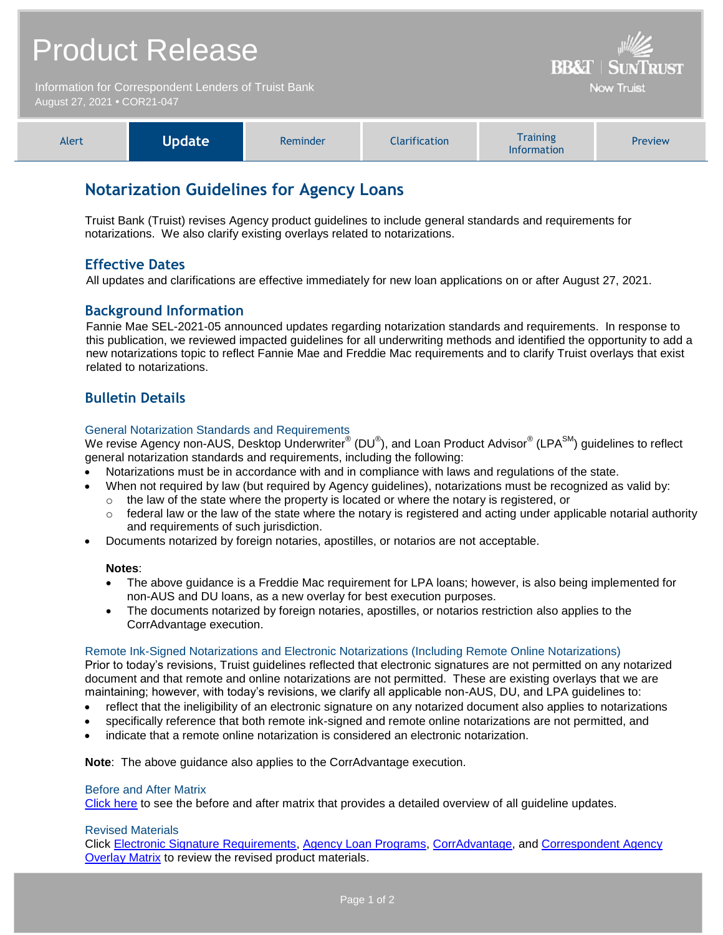| <b>Product Release</b><br>Information for Correspondent Lenders of Truist Bank<br>August 27, 2021 • COR21-047 |               |          |                      | <b>BB&amp;T   SUNTRUST</b><br><b>Now Truist</b>             |         |
|---------------------------------------------------------------------------------------------------------------|---------------|----------|----------------------|-------------------------------------------------------------|---------|
| Alert                                                                                                         | <b>Update</b> | Reminder | <b>Clarification</b> | <b>Training</b><br>$\mathbf{r}$ . The state of $\mathbf{r}$ | Preview |

# **Notarization Guidelines for Agency Loans**

Truist Bank (Truist) revises Agency product guidelines to include general standards and requirements for notarizations. We also clarify existing overlays related to notarizations.

# **Effective Dates**

All updates and clarifications are effective immediately for new loan applications on or after August 27, 2021.

## **Background Information**

Fannie Mae SEL-2021-05 announced updates regarding notarization standards and requirements. In response to this publication, we reviewed impacted guidelines for all underwriting methods and identified the opportunity to add a new notarizations topic to reflect Fannie Mae and Freddie Mac requirements and to clarify Truist overlays that exist related to notarizations.

Information

# **Bulletin Details**

### General Notarization Standards and Requirements

We revise Agency non-AUS, Desktop Underwriter® (DU®), and Loan Product Advisor® (LPA<sup>SM</sup>) guidelines to reflect general notarization standards and requirements, including the following:

- Notarizations must be in accordance with and in compliance with laws and regulations of the state.
- When not required by law (but required by Agency guidelines), notarizations must be recognized as valid by:  $\circ$  the law of the state where the property is located or where the notary is registered, or
	- $\circ$  federal law or the law of the state where the notary is registered and acting under applicable notarial authority and requirements of such jurisdiction.
- Documents notarized by foreign notaries, apostilles, or notarios are not acceptable.

### **Notes**:

- The above guidance is a Freddie Mac requirement for LPA loans; however, is also being implemented for non-AUS and DU loans, as a new overlay for best execution purposes.
- The documents notarized by foreign notaries, apostilles, or notarios restriction also applies to the CorrAdvantage execution.

#### Remote Ink-Signed Notarizations and Electronic Notarizations (Including Remote Online Notarizations)

Prior to today's revisions, Truist guidelines reflected that electronic signatures are not permitted on any notarized document and that remote and online notarizations are not permitted. These are existing overlays that we are maintaining; however, with today's revisions, we clarify all applicable non-AUS, DU, and LPA guidelines to:

- reflect that the ineligibility of an electronic signature on any notarized document also applies to notarizations
- specifically reference that both remote ink-signed and remote online notarizations are not permitted, and
- indicate that a remote online notarization is considered an electronic notarization.

**Note**: The above guidance also applies to the CorrAdvantage execution.

### Before and After Matrix

[Click here](http://www.truistsellerguide.com/manual/cor/products/Cr21-047BA.pdf) to see the before and after matrix that provides a detailed overview of all guideline updates.

### Revised Materials

Click [Electronic Signature Requirements,](https://www.truistsellerguide.com/Manual/cor/general/1.32ESignature%20Requirements.pdf) [Agency Loan Programs,](https://www.truistsellerguide.com/manual/cor/products/CAgency.pdf) [CorrAdvantage,](https://www.truistsellerguide.com/Manual/cor/products/CorrAdvantage.pdf) and [Correspondent Agency](https://www.truistsellerguide.com/manual/cor/products/CAgencyCreditOverlays.pdf)  [Overlay Matrix](https://www.truistsellerguide.com/manual/cor/products/CAgencyCreditOverlays.pdf) to review the revised product materials.